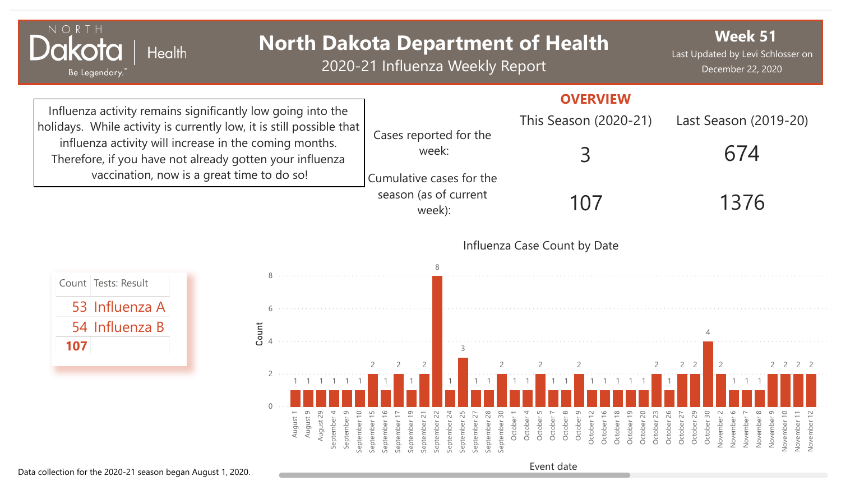| NORTH<br><b>Health</b><br>Be Legendary."                                                                                                                                                                                                                  |                                                                                                                                                                                                | <b>North Dakota Department of Health</b><br>2020-21 Influenza Weekly Report                                                                                                                                          |                                                                                                                                                                                                                                       | <b>Week 51</b><br>Last Updated by Levi Schlosser on<br>December 22, 2020                                                                                                                                                                                       |
|-----------------------------------------------------------------------------------------------------------------------------------------------------------------------------------------------------------------------------------------------------------|------------------------------------------------------------------------------------------------------------------------------------------------------------------------------------------------|----------------------------------------------------------------------------------------------------------------------------------------------------------------------------------------------------------------------|---------------------------------------------------------------------------------------------------------------------------------------------------------------------------------------------------------------------------------------|----------------------------------------------------------------------------------------------------------------------------------------------------------------------------------------------------------------------------------------------------------------|
| Influenza activity remains significantly low going into the<br>holidays. While activity is currently low, it is still possible that<br>influenza activity will increase in the coming months.<br>Therefore, if you have not already gotten your influenza |                                                                                                                                                                                                | Cases reported for the<br>week:                                                                                                                                                                                      | <b>OVERVIEW</b><br>This Season (2020-21)                                                                                                                                                                                              | Last Season (2019-20)<br>674                                                                                                                                                                                                                                   |
|                                                                                                                                                                                                                                                           | vaccination, now is a great time to do so!                                                                                                                                                     | Cumulative cases for the<br>season (as of current<br>week):                                                                                                                                                          | 107                                                                                                                                                                                                                                   | 1376                                                                                                                                                                                                                                                           |
|                                                                                                                                                                                                                                                           |                                                                                                                                                                                                |                                                                                                                                                                                                                      | Influenza Case Count by Date                                                                                                                                                                                                          |                                                                                                                                                                                                                                                                |
| Count Tests: Result<br>53 Influenza A<br>54 Influenza B<br>107                                                                                                                                                                                            | Count                                                                                                                                                                                          |                                                                                                                                                                                                                      |                                                                                                                                                                                                                                       |                                                                                                                                                                                                                                                                |
|                                                                                                                                                                                                                                                           | a de la caractería de la caractería de la caractería<br>$\overline{0}$<br>$\sigma$<br>29<br>$\overline{ }$<br>$\sigma$<br>September 10<br>August<br>August<br>September<br>September<br>August | 2<br>$\Box$<br>$\frac{6}{1}$<br>September 19<br>September 22<br>24<br>25<br>September 28<br>September 30<br>September 27<br>$\sim$<br>September 1<br>September 1<br>September<br>September<br>September<br>September | $\overline{2}$<br>$\overline{2}$<br>October 16<br>$\infty$<br>ന<br>$\sim$<br>October 18<br>October 19<br>20<br>23<br>October 1<br>October<br>October<br>October<br>October<br>October<br>October<br>October <sup>2</sup><br>October 2 | 2 <sup>2</sup><br>$\overline{2}$<br>2 <sub>2</sub><br>October 26<br>October 29<br>October 30<br>$\circ$<br>$\sim$<br>$\infty$<br>$\sigma$<br>November 10<br>November 12<br>October 2<br>November 1<br>November<br>November<br>November<br>November<br>November |

Event date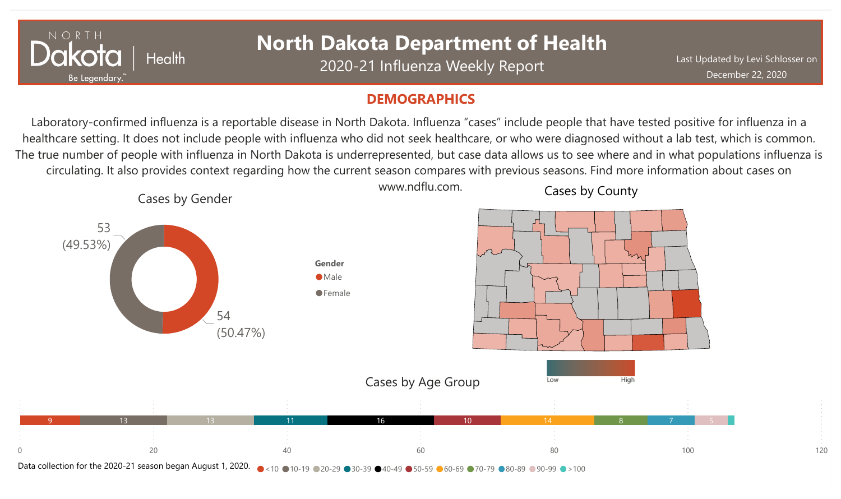

## **North Dakota Department of Health**

2020-21 Influenza Weekly Report

### **DEMOGRAPHICS**

Laboratory-confirmed influenza is a reportable disease in North Dakota. Influenza "cases" include people that have tested positive for influenza in a healthcare setting. It does not include people with influenza who did not seek healthcare, or who were diagnosed without a lab test, which is common. The true number of people with influenza in North Dakota is underrepresented, but case data allows us to see where and in what populations influenza is circulating. It also provides context regarding how the current season compares with previous seasons. Find more information about cases on

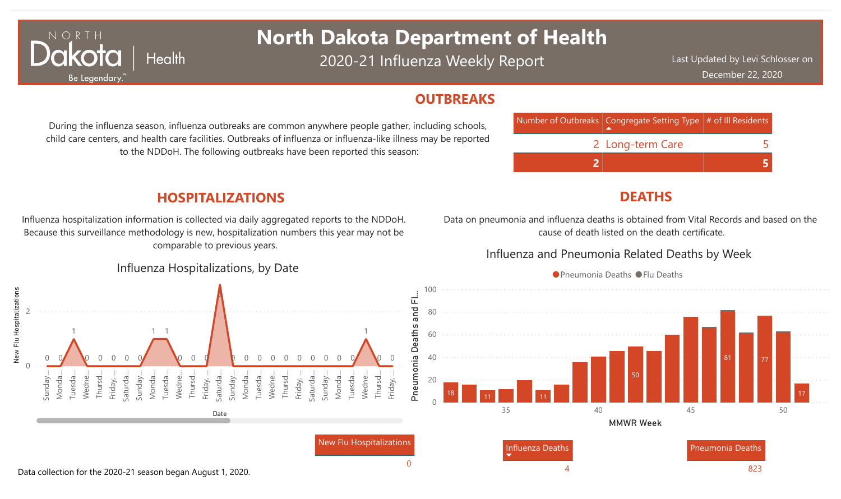## **North Dakota Department of Health**

2020-21 Influenza Weekly Report

Last Updated by Levi Schlosser on December 22, 2020

#### **OUTBREAKS**



## **DEATHS**

Data on pneumonia and influenza deaths is obtained from Vital Records and based on the cause of death listed on the death certificate.

#### Influenza and Pneumonia Related Deaths by Week



During the influenza season, influenza outbreaks are common anywhere people gather, including schools, child care centers, and health care facilities. Outbreaks of influenza or influenza-like illness may be reported to the NDDoH. The following outbreaks have been reported this season:

## **HOSPITALIZATIONS**

NORTH

**lakota** 

Be Legendary

**Health** 

Influenza hospitalization information is collected via daily aggregated reports to the NDDoH. Because this surveillance methodology is new, hospitalization numbers this year may not be comparable to previous years.

#### Influenza Hospitalizations, by Date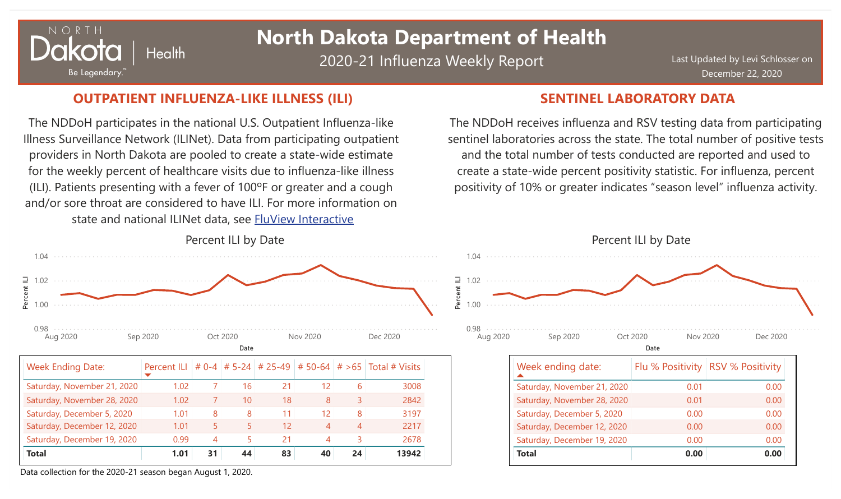## $N$   $\bigcirc$   $R$ **Health** Be Legendary.

## **North Dakota Department of Health**

2020-21 Influenza Weekly Report

Last Updated by Levi Schlosser on December 22, 2020

## **OUTPATIENT INFLUENZA-LIKE ILLNESS (ILI) SENTINEL LABORATORY DATA**

The NDDoH participates in the national U.S. Outpatient Influenza-like Illness Surveillance Network (ILINet). Data from participating outpatient providers in North Dakota are pooled to create a state-wide estimate for the weekly percent of healthcare visits due to influenza-like illness (ILI). Patients presenting with a fever of 100ºF or greater and a cough and/or sore throat are considered to have ILI. For more information on state and national ILINet data, see FluView [Interactive](http://fluview%20interactive/)



The NDDoH receives influenza and RSV testing data from participating sentinel laboratories across the state. The total number of positive tests and the total number of tests conducted are reported and used to create a state-wide percent positivity statistic. For influenza, percent positivity of 10% or greater indicates "season level" influenza activity.



Data collection for the 2020-21 season began August 1, 2020.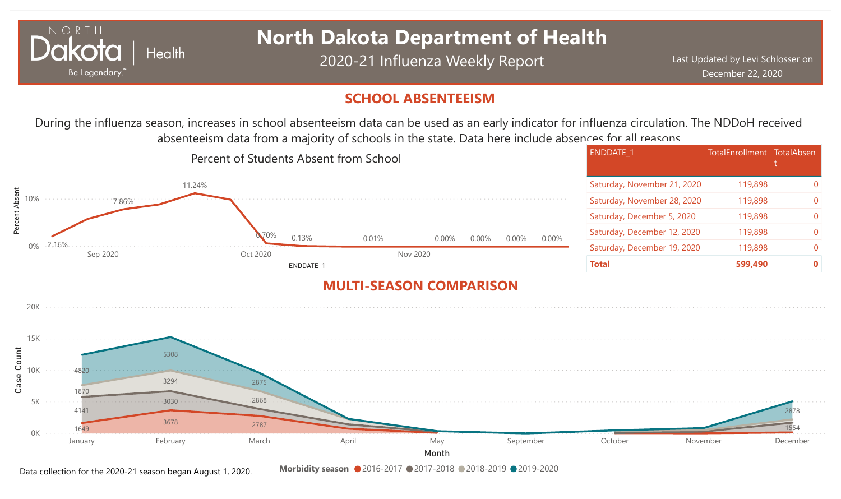

# **North Dakota Department of Health**

2020-21 Influenza Weekly Report

ENDDATE\_1 TotalEnrollment TotalAbsen

## **SCHOOL ABSENTEEISM**

During the influenza season, increases in school absenteeism data can be used as an early indicator for influenza circulation. The NDDoH received absenteeism data from a majority of schools in the state. Data here include absences for all reasons.

Percent of Students Absent from School



Data collection for the 2020-21 season began August 1, 2020.

**Morbidity season** 2016-2017 2017-2018 2018-2019 2019-2020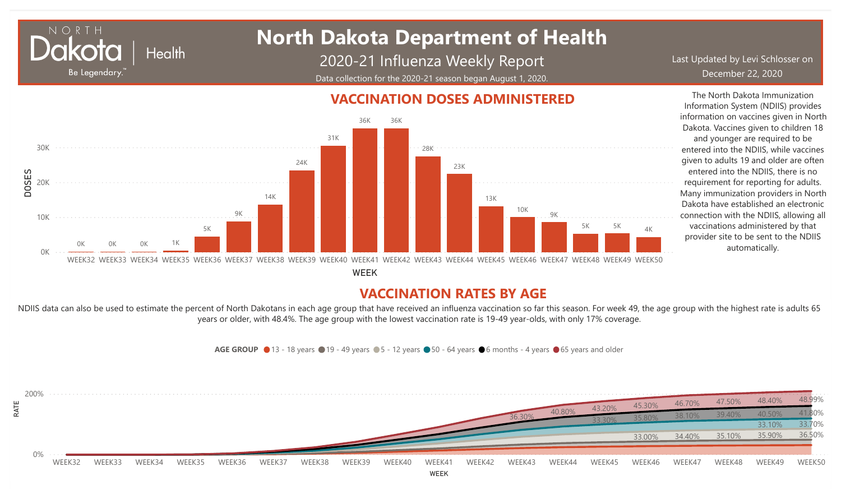## **North Dakota Department of Health Health**

DOSES

NORT

Be Legendary.

2020-21 Influenza Weekly Report Data collection for the 2020-21 season began August 1, 2020.

Last Updated by Levi Schlosser on December 22, 2020

#### 0K 10K 20K 30K WEEK32 WEEK33 WEEK34 WEEK35 WEEK36 WEEK37 WEEK38 WEEK39 WEEK40 WEEK41 WEEK42 WEEK43 WEEK44 WEEK45 WEEK46 WEEK47 WEEK48 WEEK49 WEEK50 0K 0K 0K 1K 5K 9K 14K 24K 31K 36K 36K 28K 23K 13K 10K 9K 5K 5K 4K

WEEK

## **VACCINATION RATES BY AGE**

NDIIS data can also be used to estimate the percent of North Dakotans in each age group that have received an influenza vaccination so far this season. For week 49, the age group with the highest rate is adults 65 years or older, with 48.4%. The age group with the lowest vaccination rate is 19-49 year-olds, with only 17% coverage.



## **VACCINATION DOSES ADMINISTERED**

The North Dakota Immunization Information System (NDIIS) provides information on vaccines given in North Dakota. Vaccines given to children 18 and younger are required to be

entered into the NDIIS, while vaccines given to adults 19 and older are often entered into the NDIIS, there is no requirement for reporting for adults. Many immunization providers in North Dakota have established an electronic connection with the NDIIS, allowing all vaccinations administered by that provider site to be sent to the NDIIS automatically.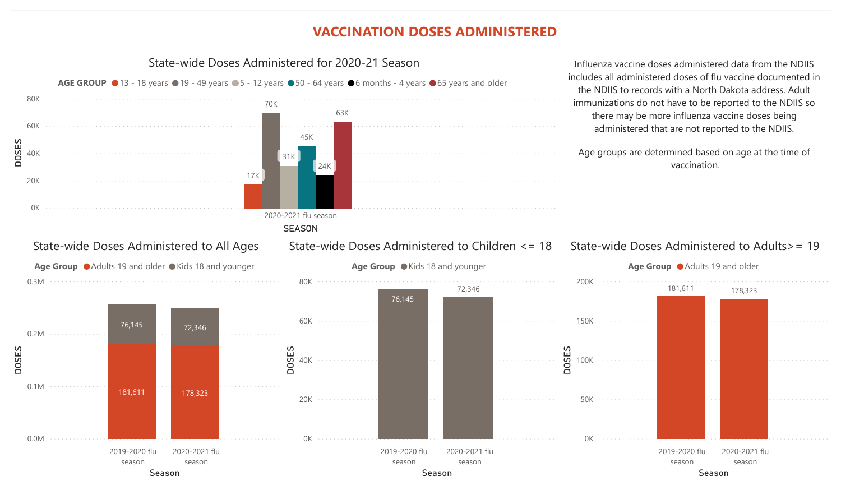## **VACCINATION DOSES ADMINISTERED**

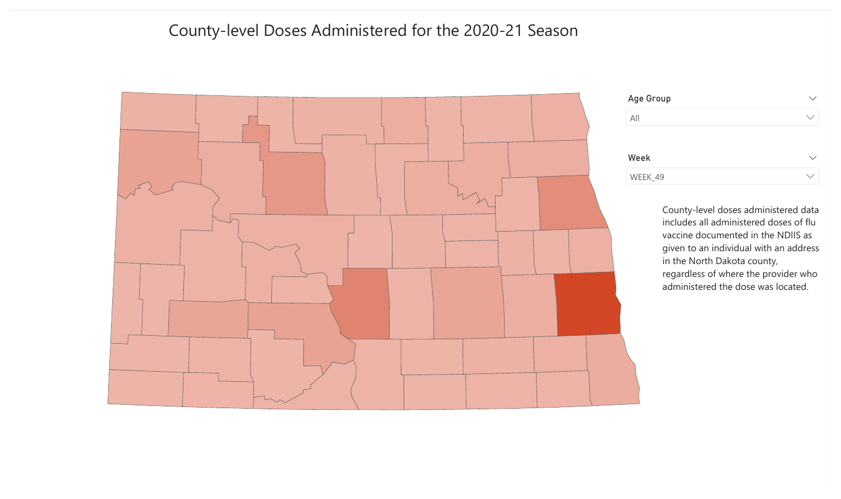## County-level Doses Administered for the 2020-21 Season

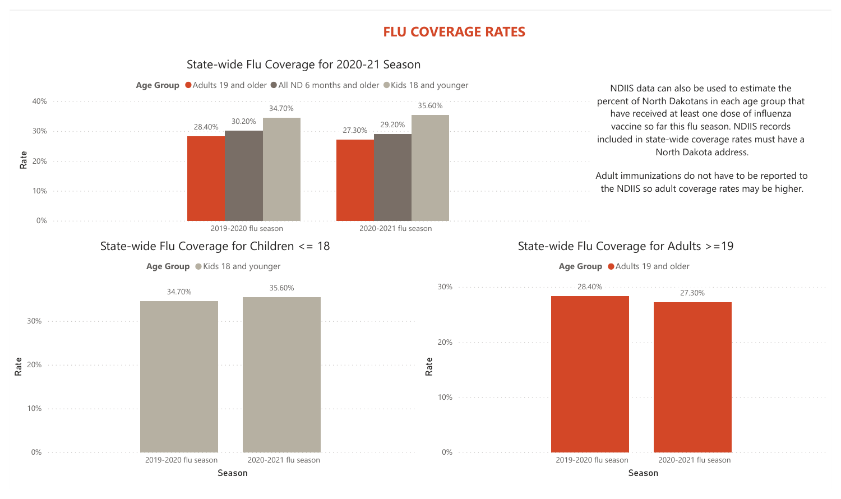## **FLU COVERAGE RATES**

#### State-wide Flu Coverage for 2020-21 Season